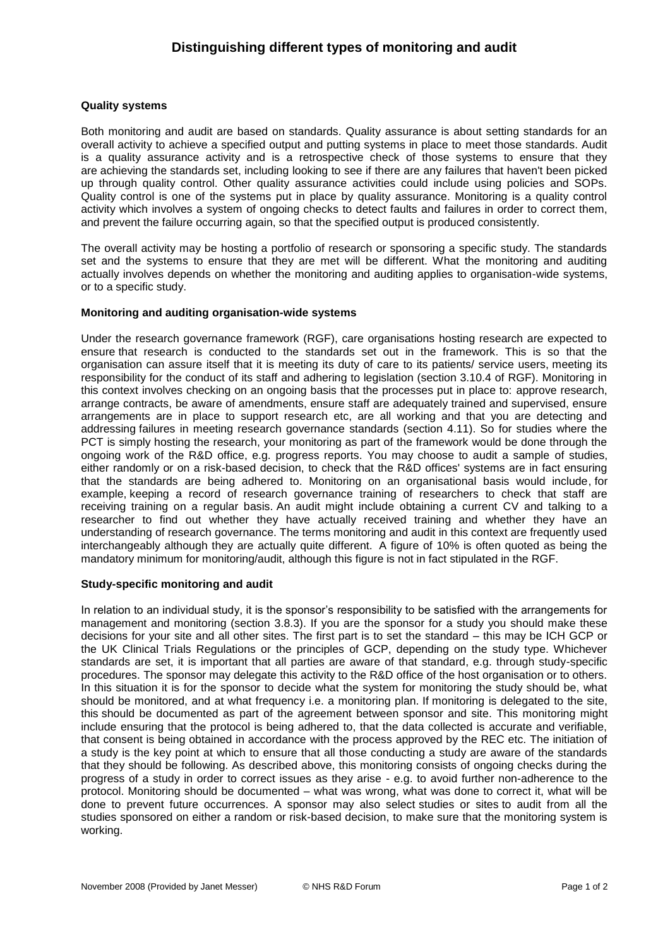## **Quality systems**

Both monitoring and audit are based on standards. Quality assurance is about setting standards for an overall activity to achieve a specified output and putting systems in place to meet those standards. Audit is a quality assurance activity and is a retrospective check of those systems to ensure that they are achieving the standards set, including looking to see if there are any failures that haven't been picked up through quality control. Other quality assurance activities could include using policies and SOPs. Quality control is one of the systems put in place by quality assurance. Monitoring is a quality control activity which involves a system of ongoing checks to detect faults and failures in order to correct them, and prevent the failure occurring again, so that the specified output is produced consistently.

The overall activity may be hosting a portfolio of research or sponsoring a specific study. The standards set and the systems to ensure that they are met will be different. What the monitoring and auditing actually involves depends on whether the monitoring and auditing applies to organisation-wide systems, or to a specific study.

## **Monitoring and auditing organisation-wide systems**

Under the research governance framework (RGF), care organisations hosting research are expected to ensure that research is conducted to the standards set out in the framework. This is so that the organisation can assure itself that it is meeting its duty of care to its patients/ service users, meeting its responsibility for the conduct of its staff and adhering to legislation (section 3.10.4 of RGF). Monitoring in this context involves checking on an ongoing basis that the processes put in place to: approve research, arrange contracts, be aware of amendments, ensure staff are adequately trained and supervised, ensure arrangements are in place to support research etc, are all working and that you are detecting and addressing failures in meeting research governance standards (section 4.11). So for studies where the PCT is simply hosting the research, your monitoring as part of the framework would be done through the ongoing work of the R&D office, e.g. progress reports. You may choose to audit a sample of studies, either randomly or on a risk-based decision, to check that the R&D offices' systems are in fact ensuring that the standards are being adhered to. Monitoring on an organisational basis would include, for example, keeping a record of research governance training of researchers to check that staff are receiving training on a regular basis. An audit might include obtaining a current CV and talking to a researcher to find out whether they have actually received training and whether they have an understanding of research governance. The terms monitoring and audit in this context are frequently used interchangeably although they are actually quite different. A figure of 10% is often quoted as being the mandatory minimum for monitoring/audit, although this figure is not in fact stipulated in the RGF.

## **Study-specific monitoring and audit**

In relation to an individual study, it is the sponsor's responsibility to be satisfied with the arrangements for management and monitoring (section 3.8.3). If you are the sponsor for a study you should make these decisions for your site and all other sites. The first part is to set the standard – this may be ICH GCP or the UK Clinical Trials Regulations or the principles of GCP, depending on the study type. Whichever standards are set, it is important that all parties are aware of that standard, e.g. through study-specific procedures. The sponsor may delegate this activity to the R&D office of the host organisation or to others. In this situation it is for the sponsor to decide what the system for monitoring the study should be, what should be monitored, and at what frequency i.e. a monitoring plan. If monitoring is delegated to the site, this should be documented as part of the agreement between sponsor and site. This monitoring might include ensuring that the protocol is being adhered to, that the data collected is accurate and verifiable, that consent is being obtained in accordance with the process approved by the REC etc. The initiation of a study is the key point at which to ensure that all those conducting a study are aware of the standards that they should be following. As described above, this monitoring consists of ongoing checks during the progress of a study in order to correct issues as they arise - e.g. to avoid further non-adherence to the protocol. Monitoring should be documented – what was wrong, what was done to correct it, what will be done to prevent future occurrences. A sponsor may also select studies or sites to audit from all the studies sponsored on either a random or risk-based decision, to make sure that the monitoring system is working.